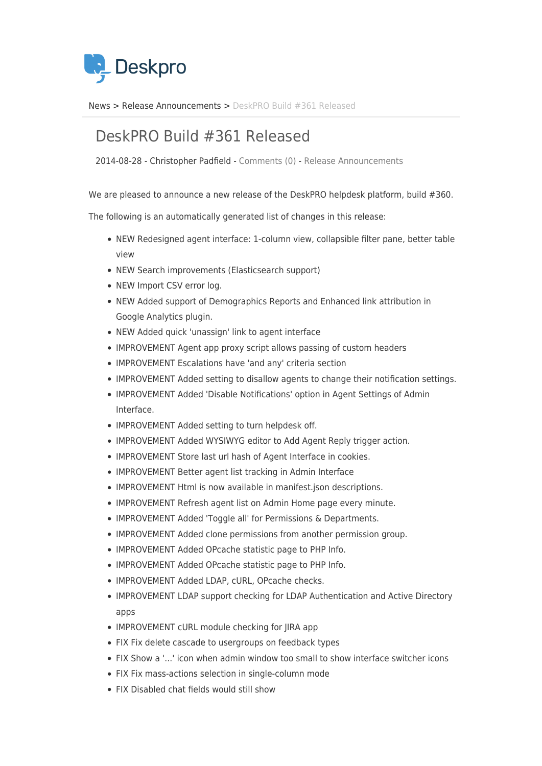

[News](https://support.deskpro.com/mk/news) > [Release Announcements](https://support.deskpro.com/mk/news/release-announcements) > [DeskPRO Build #361 Released](https://support.deskpro.com/mk/news/posts/deskpro-build-361-released-2)

## DeskPRO Build #361 Released

2014-08-28 - Christopher Padfield - [Comments \(0\)](#page--1-0) - [Release Announcements](https://support.deskpro.com/mk/news/release-announcements)

We are pleased to announce a new release of the DeskPRO helpdesk platform, build #360.

The following is an automatically generated list of changes in this release:

- NEW Redesigned agent interface: 1-column view, collapsible filter pane, better table view
- NEW Search improvements (Elasticsearch support)
- NEW Import CSV error log.
- NEW Added support of Demographics Reports and Enhanced link attribution in Google Analytics plugin.
- NEW Added quick 'unassign' link to agent interface
- IMPROVEMENT Agent app proxy script allows passing of custom headers
- IMPROVEMENT Escalations have 'and any' criteria section
- IMPROVEMENT Added setting to disallow agents to change their notification settings.
- IMPROVEMENT Added 'Disable Notifications' option in Agent Settings of Admin Interface.
- IMPROVEMENT Added setting to turn helpdesk off.
- IMPROVEMENT Added WYSIWYG editor to Add Agent Reply trigger action.
- IMPROVEMENT Store last url hash of Agent Interface in cookies.
- IMPROVEMENT Better agent list tracking in Admin Interface
- IMPROVEMENT Html is now available in manifest ison descriptions.
- IMPROVEMENT Refresh agent list on Admin Home page every minute.
- IMPROVEMENT Added 'Toggle all' for Permissions & Departments.
- IMPROVEMENT Added clone permissions from another permission group.
- IMPROVEMENT Added OPcache statistic page to PHP Info.
- IMPROVEMENT Added OPcache statistic page to PHP Info.
- IMPROVEMENT Added LDAP, cURL, OPcache checks.
- IMPROVEMENT LDAP support checking for LDAP Authentication and Active Directory apps
- IMPROVEMENT cURL module checking for JIRA app
- FIX Fix delete cascade to usergroups on feedback types
- FIX Show a '...' icon when admin window too small to show interface switcher icons
- FIX Fix mass-actions selection in single-column mode
- FIX Disabled chat fields would still show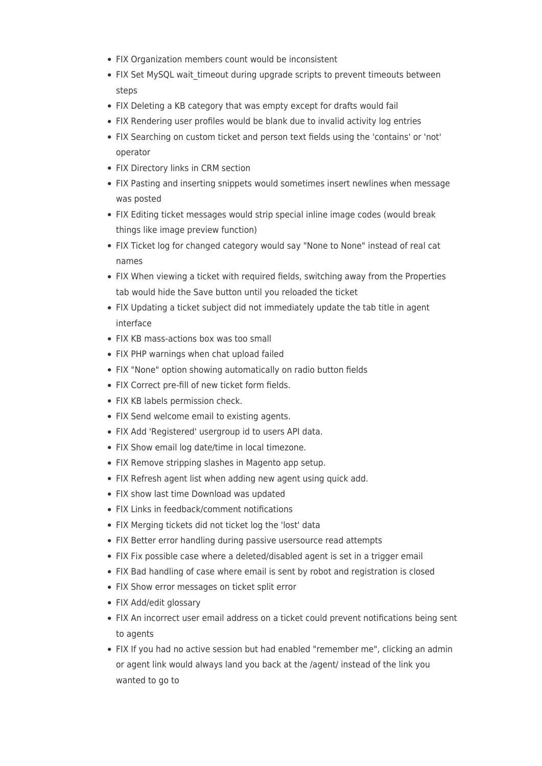- FIX Organization members count would be inconsistent
- FIX Set MySQL wait timeout during upgrade scripts to prevent timeouts between steps
- FIX Deleting a KB category that was empty except for drafts would fail
- FIX Rendering user profiles would be blank due to invalid activity log entries
- FIX Searching on custom ticket and person text fields using the 'contains' or 'not' operator
- FIX Directory links in CRM section
- FIX Pasting and inserting snippets would sometimes insert newlines when message was posted
- FIX Editing ticket messages would strip special inline image codes (would break things like image preview function)
- FIX Ticket log for changed category would say "None to None" instead of real cat names
- FIX When viewing a ticket with required fields, switching away from the Properties tab would hide the Save button until you reloaded the ticket
- FIX Updating a ticket subject did not immediately update the tab title in agent interface
- FIX KB mass-actions box was too small
- FIX PHP warnings when chat upload failed
- FIX "None" option showing automatically on radio button fields
- FIX Correct pre-fill of new ticket form fields.
- FIX KB labels permission check.
- FIX Send welcome email to existing agents.
- FIX Add 'Registered' usergroup id to users API data.
- FIX Show email log date/time in local timezone.
- FIX Remove stripping slashes in Magento app setup.
- FIX Refresh agent list when adding new agent using quick add.
- FIX show last time Download was updated
- FIX Links in feedback/comment notifications
- FIX Merging tickets did not ticket log the 'lost' data
- FIX Better error handling during passive usersource read attempts
- FIX Fix possible case where a deleted/disabled agent is set in a trigger email
- FIX Bad handling of case where email is sent by robot and registration is closed
- FIX Show error messages on ticket split error
- FIX Add/edit glossary
- FIX An incorrect user email address on a ticket could prevent notifications being sent to agents
- FIX If you had no active session but had enabled "remember me", clicking an admin or agent link would always land you back at the /agent/ instead of the link you wanted to go to